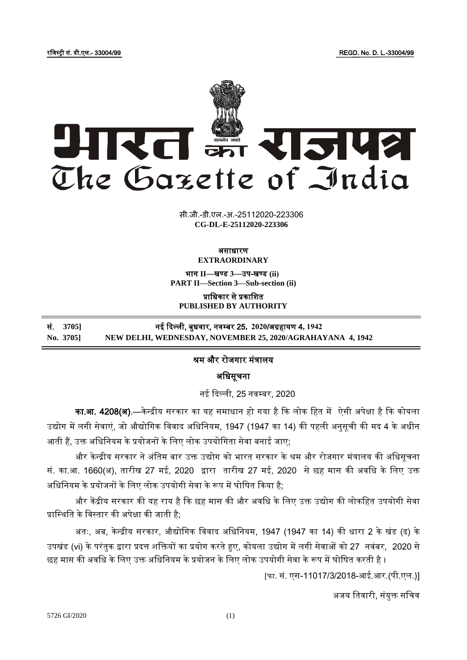रजिस्ट्री सं. डी.एल.- 33004/99 REGD. No. D. L.-33004/99



**xxxGIDHxxx xxxGIDExxx CG-DL-E-25112020-223306**सी.जी.-डी.एल.-अ.-25112020-223306

#### असाधारण **EXTRAORDINARY**

भाग **II**—खण् ड **3**—उप-खण् ड **(ii) PART II—Section 3—Sub-section (ii)**

प्राजधकार से प्रकाजित **PUBLISHED BY AUTHORITY**

सं. **3705]** नई दिल्ली, बुधवार, नवम् बर 25**, 2020**/अग्रहायण 4**, 1942 No. 3705] NEW DELHI, WEDNESDAY, NOVEMBER 25, 2020/AGRAHAYANA 4, 1942**

# श्रम और रोजगार मंत्रालय

## अजधसूचना

नई दिल्ली, 25 नवम्बर, 2020

का.<mark>आ. 4208(अ)</mark>.—केन्द्रीय सरकार का यह समाधान हो गया है कि लोक हित में ऐसी अपेक्षा है कि कोयला उद्योग में लगी सेवाएं, जो औद्योगिक विवाद अधिनियम, 1947 (1947 का 14) की पहली अनुसूची की मद 4 के अधीन आती हैं, उक्त अधिनियम के प्रयोजनों के लिए लोक उपयोगिता सेवा बनाई जाए;

और केन्द्रीय सरकार ने अंतिम बार उक्त उद्योग को भारत सरकार के श्रम और रोजगार मंत्रालय की अधिसूचना सं. का.आ. 1660(अ), तारीख 27 मई, 2020 द्वारा तारीख 27 मई, 2020 सेछह मास की अवजध केजलए उक्त अधिनियम के प्रयोजनों के लिए लोक उपयोगी सेवा के रूप में घोषित किया है:

और केंद्रीय सरकार की यह राय है कि छह मास की और अवधि के लिए उक्त उद्योग की लोकहित उपयोगी सेवा प्रास्थिति के विस्तार की अपेक्षा की जाती है;

अतः, अब, केन्द्रीय सरकार, औद्योगिक विवाद अधिनियम, 1947 (1947 का 14) की धारा 2 के खंड (ढ) के उपखंड (vi) के परंतुक द्वारा प्रदत्त शक्तियों का प्रयोग करते हुए, कोयला उद्योग में लगी सेवाओं को 27 नवंबर, 2020 से छह मास की अवधि के लिए उक्त अधिनियम के प्रयोजन के लिए लोक उपयोगी सेवा के रूप में घोषित करती है ।

[फा. सं. एस-11017/3/2018-आई.आर.(पी.एल.)]

अजय तिवारी, संयुक्त सचिव